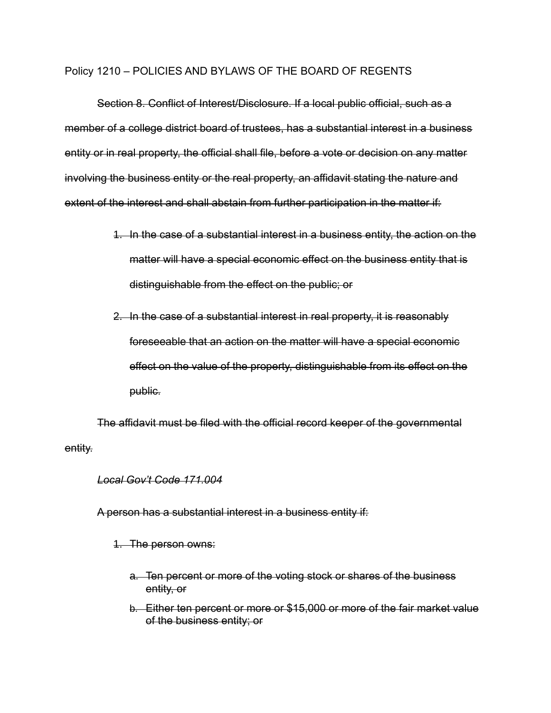#### Policy 1210 – POLICIES AND BYLAWS OF THE BOARD OF REGENTS

Section 8. Conflict of Interest/Disclosure. If a local public official, such as a member of a college district board of trustees, has a substantial interest in a business entity or in real property, the official shall file, before a vote or decision on any matter involving the business entity or the real property, an affidavit stating the nature and extent of the interest and shall abstain from further participation in the matter if:

- 1. In the case of a substantial interest in a business entity, the action on the matter will have a special economic effect on the business entity that is distinguishable from the effect on the public; or
- 2. In the case of a substantial interest in real property, it is reasonably foreseeable that an action on the matter will have a special economic effect on the value of the property, distinguishable from its effect on the public.

The affidavit must be filed with the official record keeper of the governmental entity.

#### *Local Gov't Code 171.004*

A person has a substantial interest in a business entity if:

1. The person owns:

- a. Ten percent or more of the voting stock or shares of the business entity, or
- b. Either ten percent or more or \$15,000 or more of the fair market value of the business entity; or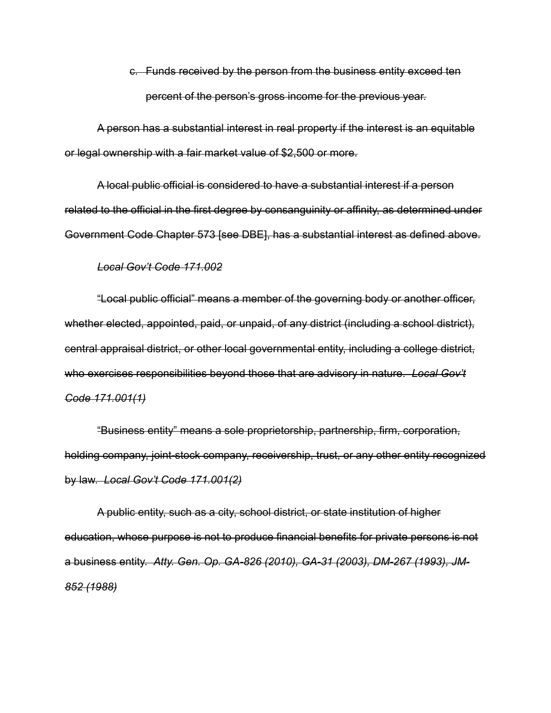c. Funds received by the person from the business entity exceed ten percent of the person's gross income for the previous year.

A person has a substantial interest in real property if the interest is an equitable or legal ownership with a fair market value of \$2,500 or more.

A local public official is considered to have a substantial interest if a person related to the official in the first degree by consanguinity or affinity, as determined under Government Code Chapter 573 [see DBE], has a substantial interest as defined above.

#### *Local Gov't Code 171.002*

"Local public official" means a member of the governing body or another officer, whether elected, appointed, paid, or unpaid, of any district (including a school district), central appraisal district, or other local governmental entity, including a college district, who exercises responsibilities beyond those that are advisory in nature. *Local Gov't Code 171.001(1)*

"Business entity" means a sole proprietorship, partnership, firm, corporation, holding company, joint-stock company, receivership, trust, or any other entity recognized by law. *Local Gov't Code 171.001(2)*

A public entity, such as a city, school district, or state institution of higher education, whose purpose is not to produce financial benefits for private persons is not a business entity. *Atty. Gen. Op. GA-826 (2010), GA-31 (2003), DM-267 (1993), JM-852 (1988)*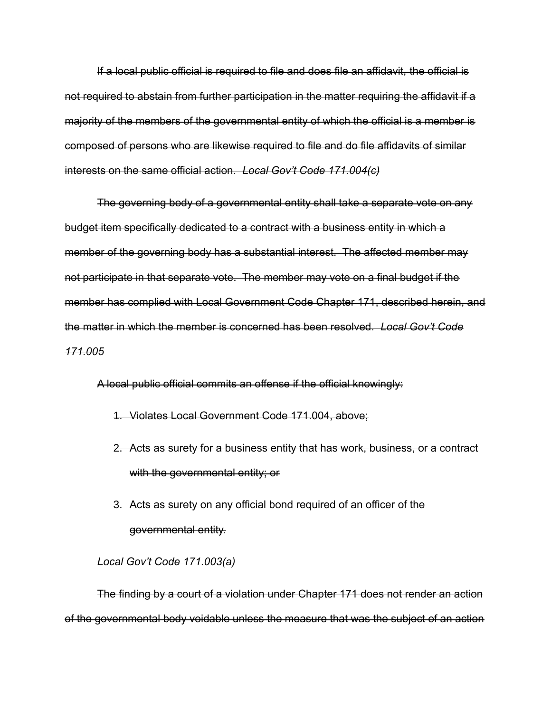If a local public official is required to file and does file an affidavit, the official is not required to abstain from further participation in the matter requiring the affidavit if a majority of the members of the governmental entity of which the official is a member is composed of persons who are likewise required to file and do file affidavits of similar interests on the same official action. *Local Gov't Code 171.004(c)*

The governing body of a governmental entity shall take a separate vote on any budget item specifically dedicated to a contract with a business entity in which a member of the governing body has a substantial interest. The affected member may not participate in that separate vote. The member may vote on a final budget if the member has complied with Local Government Code Chapter 171, described herein, and the matter in which the member is concerned has been resolved. *Local Gov't Code 171.005*

A local public official commits an offense if the official knowingly:

- 1. Violates Local Government Code 171.004, above;
- 2. Acts as surety for a business entity that has work, business, or a contract with the governmental entity; or
- 3. Acts as surety on any official bond required of an officer of the governmental entity.

### *Local Gov't Code 171.003(a)*

The finding by a court of a violation under Chapter 171 does not render an action of the governmental body voidable unless the measure that was the subject of an action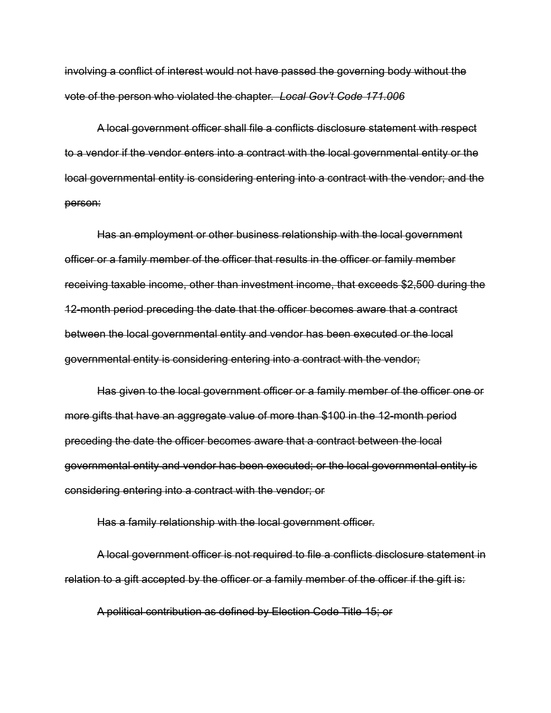involving a conflict of interest would not have passed the governing body without the vote of the person who violated the chapter. *Local Gov't Code 171.006*

A local government officer shall file a conflicts disclosure statement with respect to a vendor if the vendor enters into a contract with the local governmental entity or the local governmental entity is considering entering into a contract with the vendor; and the person:

Has an employment or other business relationship with the local government officer or a family member of the officer that results in the officer or family member receiving taxable income, other than investment income, that exceeds \$2,500 during the 12-month period preceding the date that the officer becomes aware that a contract between the local governmental entity and vendor has been executed or the local governmental entity is considering entering into a contract with the vendor;

Has given to the local government officer or a family member of the officer one or more gifts that have an aggregate value of more than \$100 in the 12-month period preceding the date the officer becomes aware that a contract between the local governmental entity and vendor has been executed; or the local governmental entity is considering entering into a contract with the vendor; or

Has a family relationship with the local government officer.

A local government officer is not required to file a conflicts disclosure statement in relation to a gift accepted by the officer or a family member of the officer if the gift is:

A political contribution as defined by Election Code Title 15; or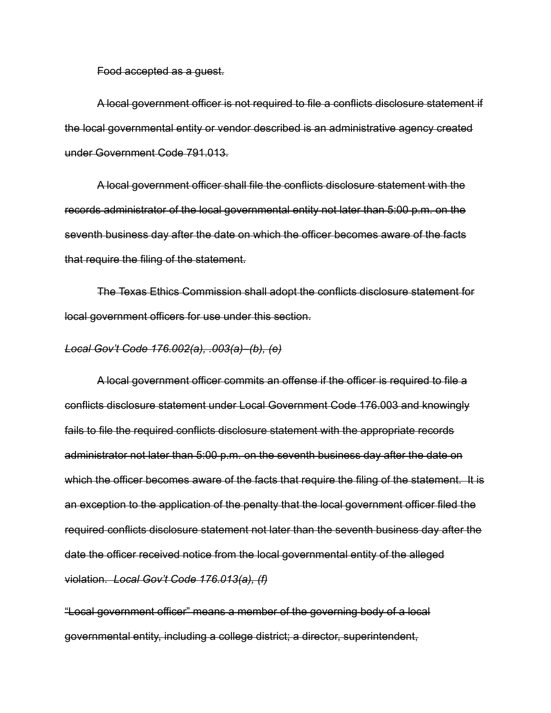Food accepted as a guest.

A local government officer is not required to file a conflicts disclosure statement if the local governmental entity or vendor described is an administrative agency created under Government Code 791.013.

A local government officer shall file the conflicts disclosure statement with the records administrator of the local governmental entity not later than 5:00 p.m. on the seventh business day after the date on which the officer becomes aware of the facts that require the filing of the statement.

The Texas Ethics Commission shall adopt the conflicts disclosure statement for local government officers for use under this section.

#### *Local Gov't Code 176.002(a), .003(a)–(b), (e)*

A local government officer commits an offense if the officer is required to file a conflicts disclosure statement under Local Government Code 176.003 and knowingly fails to file the required conflicts disclosure statement with the appropriate records administrator not later than 5:00 p.m. on the seventh business day after the date on which the officer becomes aware of the facts that require the filing of the statement. It is an exception to the application of the penalty that the local government officer filed the required conflicts disclosure statement not later than the seventh business day after the date the officer received notice from the local governmental entity of the alleged violation. *Local Gov't Code 176.013(a), (f)*

"Local government officer" means a member of the governing body of a local governmental entity, including a college district; a director, superintendent,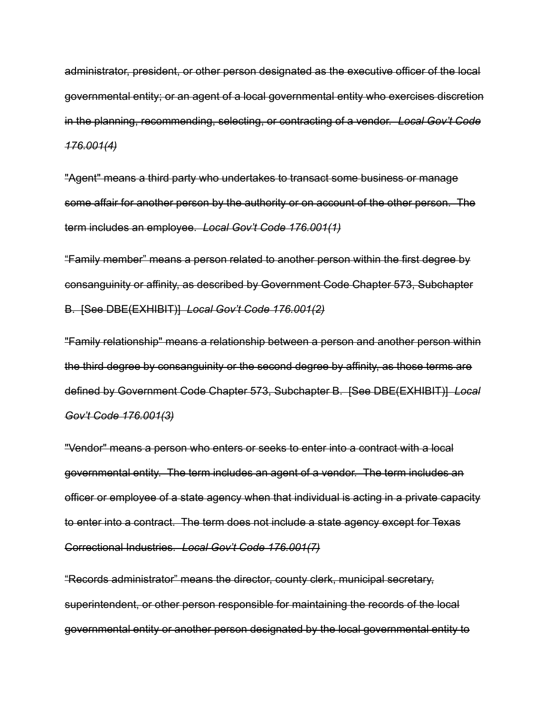administrator, president, or other person designated as the executive officer of the local governmental entity; or an agent of a local governmental entity who exercises discretion in the planning, recommending, selecting, or contracting of a vendor. *Local Gov't Code 176.001(4)*

"Agent" means a third party who undertakes to transact some business or manage some affair for another person by the authority or on account of the other person. The term includes an employee. *Local Gov't Code 176.001(1)*

"Family member" means a person related to another person within the first degree by consanguinity or affinity, as described by Government Code Chapter 573, Subchapter B. [See DBE(EXHIBIT)] *Local Gov't Code 176.001(2)* 

"Family relationship" means a relationship between a person and another person within the third degree by consanguinity or the second degree by affinity, as those terms are defined by Government Code Chapter 573, Subchapter B. [See DBE(EXHIBIT)] *Local Gov't Code 176.001(3)* 

"Vendor" means a person who enters or seeks to enter into a contract with a local governmental entity. The term includes an agent of a vendor. The term includes an officer or employee of a state agency when that individual is acting in a private capacity to enter into a contract. The term does not include a state agency except for Texas Correctional Industries. *Local Gov't Code 176.001(7)*

"Records administrator" means the director, county clerk, municipal secretary, superintendent, or other person responsible for maintaining the records of the local governmental entity or another person designated by the local governmental entity to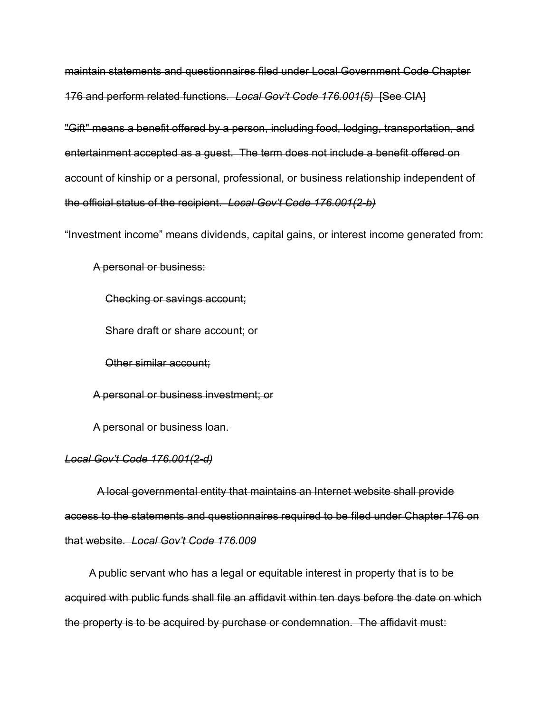maintain statements and questionnaires filed under Local Government Code Chapter 176 and perform related functions. *Local Gov't Code 176.001(5)* [See CIA]

"Gift" means a benefit offered by a person, including food, lodging, transportation, and entertainment accepted as a guest. The term does not include a benefit offered on account of kinship or a personal, professional, or business relationship independent of the official status of the recipient. *Local Gov't Code 176.001(2-b)*

"Investment income" means dividends, capital gains, or interest income generated from:

A personal or business:

Checking or savings account;

Share draft or share account; or

Other similar account;

A personal or business investment; or

A personal or business loan.

#### *Local Gov't Code 176.001(2-d)*

A local governmental entity that maintains an Internet website shall provide access to the statements and questionnaires required to be filed under Chapter 176 on that website. *Local Gov't Code 176.009*

A public servant who has a legal or equitable interest in property that is to be acquired with public funds shall file an affidavit within ten days before the date on which the property is to be acquired by purchase or condemnation. The affidavit must: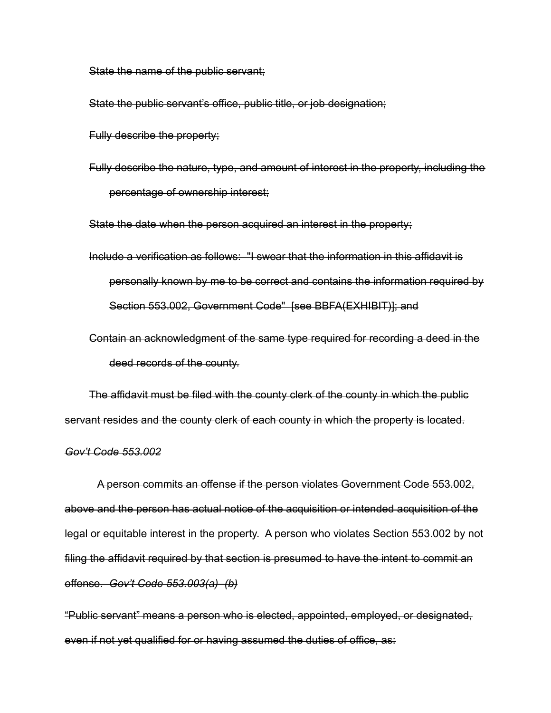State the name of the public servant;

State the public servant's office, public title, or job designation;

Fully describe the property;

Fully describe the nature, type, and amount of interest in the property, including the percentage of ownership interest;

State the date when the person acquired an interest in the property;

- Include a verification as follows: "I swear that the information in this affidavit is personally known by me to be correct and contains the information required by Section 553.002, Government Code" [see BBFA(EXHIBIT)]; and
- Contain an acknowledgment of the same type required for recording a deed in the deed records of the county.

The affidavit must be filed with the county clerk of the county in which the public servant resides and the county clerk of each county in which the property is located.

#### *Gov't Code 553.002*

A person commits an offense if the person violates Government Code 553.002, above and the person has actual notice of the acquisition or intended acquisition of the legal or equitable interest in the property. A person who violates Section 553.002 by not filing the affidavit required by that section is presumed to have the intent to commit an offense. *Gov't Code 553.003(a)–(b)*

"Public servant" means a person who is elected, appointed, employed, or designated, even if not yet qualified for or having assumed the duties of office, as: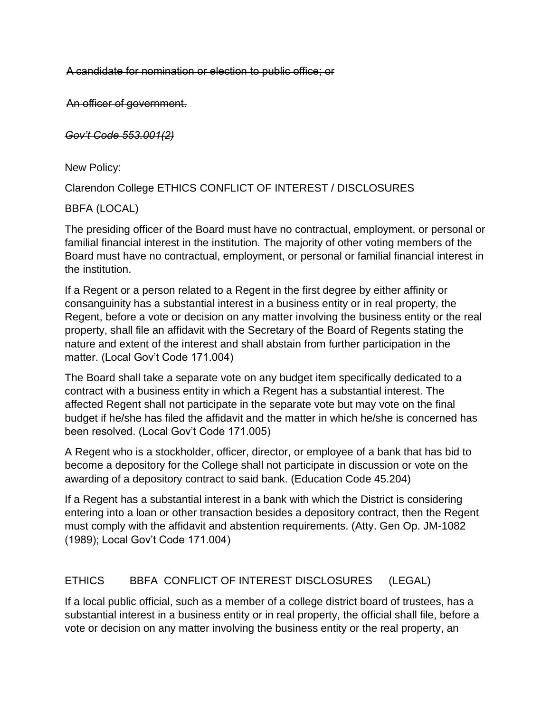A candidate for nomination or election to public office; or

An officer of government.

*Gov't Code 553.001(2)*

New Policy:

Clarendon College ETHICS CONFLICT OF INTEREST / DISCLOSURES

BBFA (LOCAL)

The presiding officer of the Board must have no contractual, employment, or personal or familial financial interest in the institution. The majority of other voting members of the Board must have no contractual, employment, or personal or familial financial interest in the institution.

If a Regent or a person related to a Regent in the first degree by either affinity or consanguinity has a substantial interest in a business entity or in real property, the Regent, before a vote or decision on any matter involving the business entity or the real property, shall file an affidavit with the Secretary of the Board of Regents stating the nature and extent of the interest and shall abstain from further participation in the matter. (Local Gov't Code 171.004)

The Board shall take a separate vote on any budget item specifically dedicated to a contract with a business entity in which a Regent has a substantial interest. The affected Regent shall not participate in the separate vote but may vote on the final budget if he/she has filed the affidavit and the matter in which he/she is concerned has been resolved. (Local Gov't Code 171.005)

A Regent who is a stockholder, officer, director, or employee of a bank that has bid to become a depository for the College shall not participate in discussion or vote on the awarding of a depository contract to said bank. (Education Code 45.204)

If a Regent has a substantial interest in a bank with which the District is considering entering into a loan or other transaction besides a depository contract, then the Regent must comply with the affidavit and abstention requirements. (Atty. Gen Op. JM-1082 (1989); Local Gov't Code 171.004)

## ETHICS BBFA CONFLICT OF INTEREST DISCLOSURES (LEGAL)

If a local public official, such as a member of a college district board of trustees, has a substantial interest in a business entity or in real property, the official shall file, before a vote or decision on any matter involving the business entity or the real property, an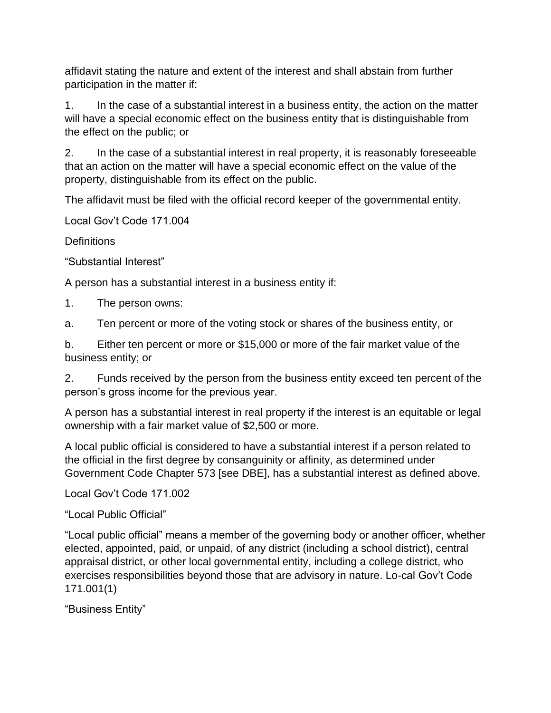affidavit stating the nature and extent of the interest and shall abstain from further participation in the matter if:

1. In the case of a substantial interest in a business entity, the action on the matter will have a special economic effect on the business entity that is distinguishable from the effect on the public; or

2. In the case of a substantial interest in real property, it is reasonably foreseeable that an action on the matter will have a special economic effect on the value of the property, distinguishable from its effect on the public.

The affidavit must be filed with the official record keeper of the governmental entity.

Local Gov't Code 171.004

**Definitions** 

"Substantial Interest"

A person has a substantial interest in a business entity if:

1. The person owns:

a. Ten percent or more of the voting stock or shares of the business entity, or

b. Either ten percent or more or \$15,000 or more of the fair market value of the business entity; or

2. Funds received by the person from the business entity exceed ten percent of the person's gross income for the previous year.

A person has a substantial interest in real property if the interest is an equitable or legal ownership with a fair market value of \$2,500 or more.

A local public official is considered to have a substantial interest if a person related to the official in the first degree by consanguinity or affinity, as determined under Government Code Chapter 573 [see DBE], has a substantial interest as defined above.

Local Gov't Code 171.002

"Local Public Official"

"Local public official" means a member of the governing body or another officer, whether elected, appointed, paid, or unpaid, of any district (including a school district), central appraisal district, or other local governmental entity, including a college district, who exercises responsibilities beyond those that are advisory in nature. Lo-cal Gov't Code 171.001(1)

"Business Entity"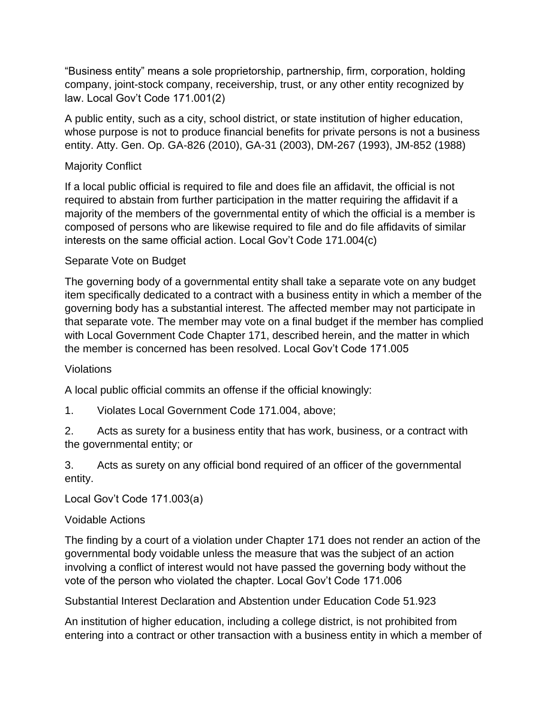"Business entity" means a sole proprietorship, partnership, firm, corporation, holding company, joint-stock company, receivership, trust, or any other entity recognized by law. Local Gov't Code 171.001(2)

A public entity, such as a city, school district, or state institution of higher education, whose purpose is not to produce financial benefits for private persons is not a business entity. Atty. Gen. Op. GA-826 (2010), GA-31 (2003), DM-267 (1993), JM-852 (1988)

## Majority Conflict

If a local public official is required to file and does file an affidavit, the official is not required to abstain from further participation in the matter requiring the affidavit if a majority of the members of the governmental entity of which the official is a member is composed of persons who are likewise required to file and do file affidavits of similar interests on the same official action. Local Gov't Code 171.004(c)

## Separate Vote on Budget

The governing body of a governmental entity shall take a separate vote on any budget item specifically dedicated to a contract with a business entity in which a member of the governing body has a substantial interest. The affected member may not participate in that separate vote. The member may vote on a final budget if the member has complied with Local Government Code Chapter 171, described herein, and the matter in which the member is concerned has been resolved. Local Gov't Code 171.005

## Violations

A local public official commits an offense if the official knowingly:

1. Violates Local Government Code 171.004, above;

2. Acts as surety for a business entity that has work, business, or a contract with the governmental entity; or

3. Acts as surety on any official bond required of an officer of the governmental entity.

Local Gov't Code 171.003(a)

## Voidable Actions

The finding by a court of a violation under Chapter 171 does not render an action of the governmental body voidable unless the measure that was the subject of an action involving a conflict of interest would not have passed the governing body without the vote of the person who violated the chapter. Local Gov't Code 171.006

Substantial Interest Declaration and Abstention under Education Code 51.923

An institution of higher education, including a college district, is not prohibited from entering into a contract or other transaction with a business entity in which a member of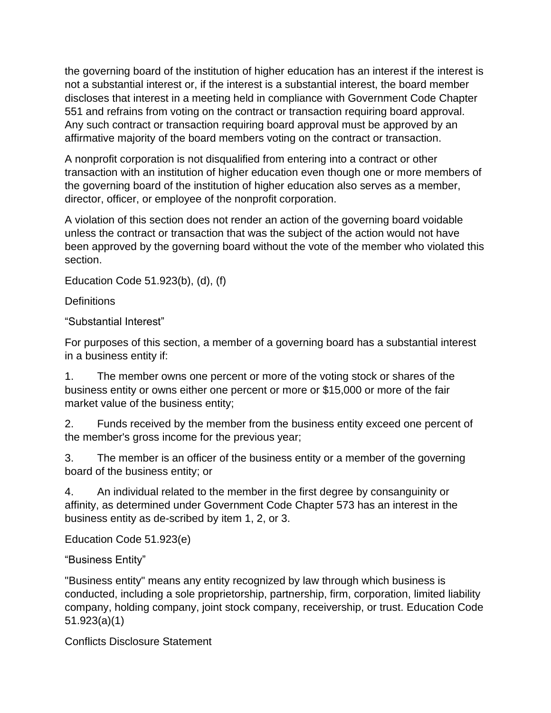the governing board of the institution of higher education has an interest if the interest is not a substantial interest or, if the interest is a substantial interest, the board member discloses that interest in a meeting held in compliance with Government Code Chapter 551 and refrains from voting on the contract or transaction requiring board approval. Any such contract or transaction requiring board approval must be approved by an affirmative majority of the board members voting on the contract or transaction.

A nonprofit corporation is not disqualified from entering into a contract or other transaction with an institution of higher education even though one or more members of the governing board of the institution of higher education also serves as a member, director, officer, or employee of the nonprofit corporation.

A violation of this section does not render an action of the governing board voidable unless the contract or transaction that was the subject of the action would not have been approved by the governing board without the vote of the member who violated this section.

Education Code 51.923(b), (d), (f)

**Definitions** 

"Substantial Interest"

For purposes of this section, a member of a governing board has a substantial interest in a business entity if:

1. The member owns one percent or more of the voting stock or shares of the business entity or owns either one percent or more or \$15,000 or more of the fair market value of the business entity;

2. Funds received by the member from the business entity exceed one percent of the member's gross income for the previous year;

3. The member is an officer of the business entity or a member of the governing board of the business entity; or

4. An individual related to the member in the first degree by consanguinity or affinity, as determined under Government Code Chapter 573 has an interest in the business entity as de-scribed by item 1, 2, or 3.

Education Code 51.923(e)

"Business Entity"

"Business entity" means any entity recognized by law through which business is conducted, including a sole proprietorship, partnership, firm, corporation, limited liability company, holding company, joint stock company, receivership, or trust. Education Code 51.923(a)(1)

Conflicts Disclosure Statement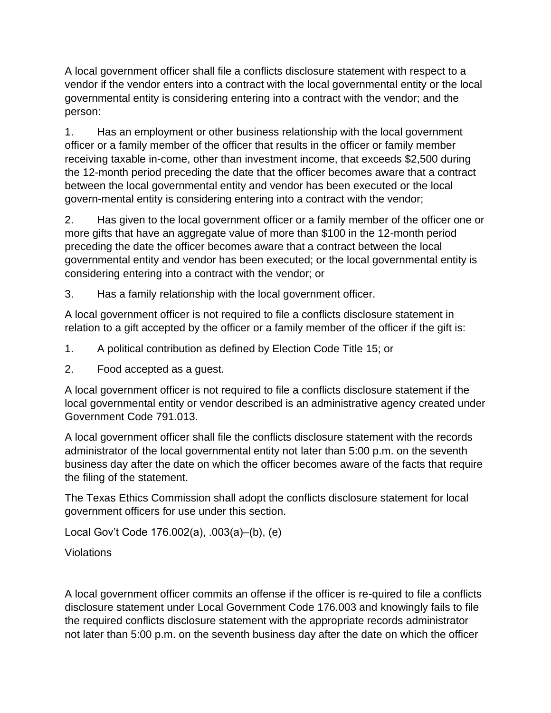A local government officer shall file a conflicts disclosure statement with respect to a vendor if the vendor enters into a contract with the local governmental entity or the local governmental entity is considering entering into a contract with the vendor; and the person:

1. Has an employment or other business relationship with the local government officer or a family member of the officer that results in the officer or family member receiving taxable in-come, other than investment income, that exceeds \$2,500 during the 12-month period preceding the date that the officer becomes aware that a contract between the local governmental entity and vendor has been executed or the local govern-mental entity is considering entering into a contract with the vendor;

2. Has given to the local government officer or a family member of the officer one or more gifts that have an aggregate value of more than \$100 in the 12-month period preceding the date the officer becomes aware that a contract between the local governmental entity and vendor has been executed; or the local governmental entity is considering entering into a contract with the vendor; or

3. Has a family relationship with the local government officer.

A local government officer is not required to file a conflicts disclosure statement in relation to a gift accepted by the officer or a family member of the officer if the gift is:

- 1. A political contribution as defined by Election Code Title 15; or
- 2. Food accepted as a guest.

A local government officer is not required to file a conflicts disclosure statement if the local governmental entity or vendor described is an administrative agency created under Government Code 791.013.

A local government officer shall file the conflicts disclosure statement with the records administrator of the local governmental entity not later than 5:00 p.m. on the seventh business day after the date on which the officer becomes aware of the facts that require the filing of the statement.

The Texas Ethics Commission shall adopt the conflicts disclosure statement for local government officers for use under this section.

Local Gov't Code 176.002(a), .003(a)–(b), (e)

Violations

A local government officer commits an offense if the officer is re-quired to file a conflicts disclosure statement under Local Government Code 176.003 and knowingly fails to file the required conflicts disclosure statement with the appropriate records administrator not later than 5:00 p.m. on the seventh business day after the date on which the officer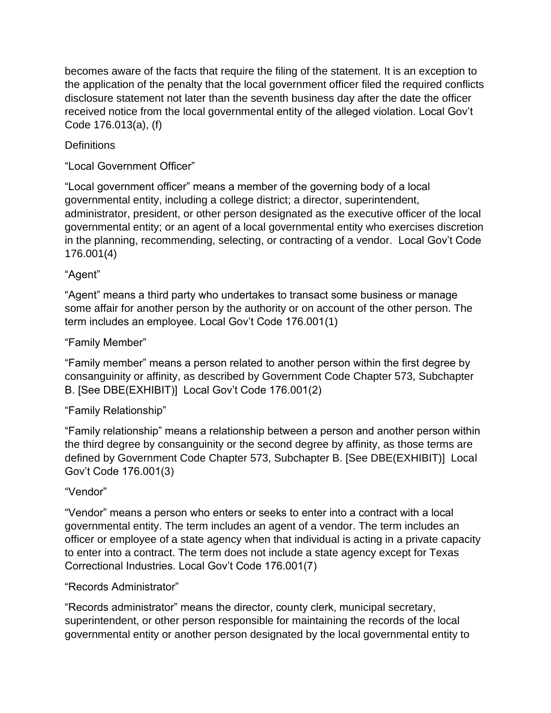becomes aware of the facts that require the filing of the statement. It is an exception to the application of the penalty that the local government officer filed the required conflicts disclosure statement not later than the seventh business day after the date the officer received notice from the local governmental entity of the alleged violation. Local Gov't Code 176.013(a), (f)

# **Definitions**

"Local Government Officer"

"Local government officer" means a member of the governing body of a local governmental entity, including a college district; a director, superintendent, administrator, president, or other person designated as the executive officer of the local governmental entity; or an agent of a local governmental entity who exercises discretion in the planning, recommending, selecting, or contracting of a vendor. Local Gov't Code 176.001(4)

# "Agent"

"Agent" means a third party who undertakes to transact some business or manage some affair for another person by the authority or on account of the other person. The term includes an employee. Local Gov't Code 176.001(1)

# "Family Member"

"Family member" means a person related to another person within the first degree by consanguinity or affinity, as described by Government Code Chapter 573, Subchapter B. [See DBE(EXHIBIT)] Local Gov't Code 176.001(2)

# "Family Relationship"

"Family relationship" means a relationship between a person and another person within the third degree by consanguinity or the second degree by affinity, as those terms are defined by Government Code Chapter 573, Subchapter B. [See DBE(EXHIBIT)] Local Gov't Code 176.001(3)

# "Vendor"

"Vendor" means a person who enters or seeks to enter into a contract with a local governmental entity. The term includes an agent of a vendor. The term includes an officer or employee of a state agency when that individual is acting in a private capacity to enter into a contract. The term does not include a state agency except for Texas Correctional Industries. Local Gov't Code 176.001(7)

## "Records Administrator"

"Records administrator" means the director, county clerk, municipal secretary, superintendent, or other person responsible for maintaining the records of the local governmental entity or another person designated by the local governmental entity to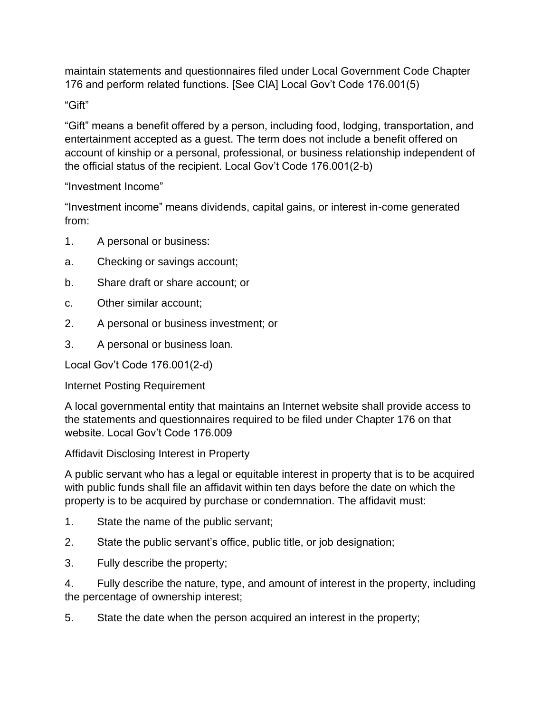maintain statements and questionnaires filed under Local Government Code Chapter 176 and perform related functions. [See CIA] Local Gov't Code 176.001(5)

"Gift"

"Gift" means a benefit offered by a person, including food, lodging, transportation, and entertainment accepted as a guest. The term does not include a benefit offered on account of kinship or a personal, professional, or business relationship independent of the official status of the recipient. Local Gov't Code 176.001(2-b)

"Investment Income"

"Investment income" means dividends, capital gains, or interest in-come generated from:

- 1. A personal or business:
- a. Checking or savings account;
- b. Share draft or share account; or
- c. Other similar account;
- 2. A personal or business investment; or
- 3. A personal or business loan.

Local Gov't Code 176.001(2-d)

Internet Posting Requirement

A local governmental entity that maintains an Internet website shall provide access to the statements and questionnaires required to be filed under Chapter 176 on that website. Local Gov't Code 176.009

Affidavit Disclosing Interest in Property

A public servant who has a legal or equitable interest in property that is to be acquired with public funds shall file an affidavit within ten days before the date on which the property is to be acquired by purchase or condemnation. The affidavit must:

- 1. State the name of the public servant;
- 2. State the public servant's office, public title, or job designation;
- 3. Fully describe the property;

4. Fully describe the nature, type, and amount of interest in the property, including the percentage of ownership interest;

5. State the date when the person acquired an interest in the property;